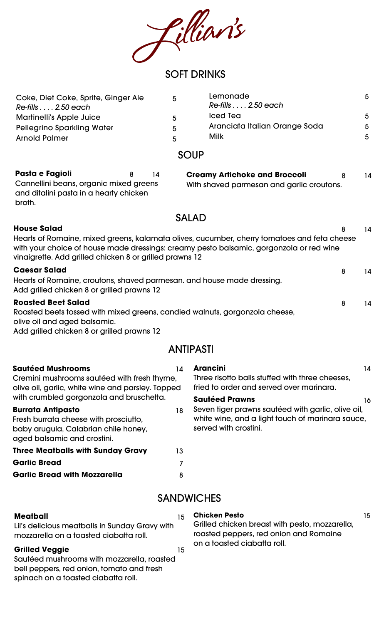filliants

# SOFT DRINKS

| Coke, Diet Coke, Sprite, Ginger Ale | 5. | Lemonade                      | -5 |
|-------------------------------------|----|-------------------------------|----|
| Re-fills 2.50 each                  |    | Re-fills 2.50 each            |    |
| <b>Martinelli's Apple Juice</b>     | 5  | Iced Tea                      | -5 |
| <b>Pellegrino Sparkling Water</b>   | 5  | Aranciata Italian Orange Soda | -5 |
| <b>Arnold Palmer</b>                | 5. | Milk                          | -5 |

#### **SOUP**

| Pasta e Fagioli                        | 8 | 14 |
|----------------------------------------|---|----|
| Cannellini beans, organic mixed greens |   |    |
| and ditalini pasta in a hearty chicken |   |    |
| broth.                                 |   |    |

| <b>Creamy Artichoke and Broccoli</b>      | 14 |
|-------------------------------------------|----|
| With shaved parmesan and garlic croutons. |    |

# SALAD

| <b>House Salad</b> |
|--------------------|
|                    |

| <b>House Salad</b>                                                                                                                                                                                                                                | 8 | 14 |
|---------------------------------------------------------------------------------------------------------------------------------------------------------------------------------------------------------------------------------------------------|---|----|
| Hearts of Romaine, mixed greens, kalamata olives, cucumber, cherry tomatoes and feta cheese<br>with your choice of house made dressings: creamy pesto balsamic, gorgonzola or red wine<br>vinaigrette. Add grilled chicken 8 or grilled prawns 12 |   |    |
| <b>Caesar Salad</b>                                                                                                                                                                                                                               | 8 | 14 |
| Hearts of Romaine, croutons, shaved parmesan. and house made dressing.<br>Add grilled chicken 8 or grilled prawns 12                                                                                                                              |   |    |
| <b>Roasted Beet Salad</b>                                                                                                                                                                                                                         | 8 | 14 |
| لممتملها والمستورم ويستنقص والرزادين المتوالة ويستمر والمستورة والمستحل والاستحارة والمستقل والمستحدث والمستحدث                                                                                                                                   |   |    |

Roasted beets tossed with mixed greens, candied walnuts, gorgonzola cheese, olive oil and aged balsamic. Add grilled chicken 8 or grilled prawns 12

# ANTIPASTI

| <b>Sautéed Mushrooms</b>                                            | 14 | <b>Arancini</b><br>14                              |  |
|---------------------------------------------------------------------|----|----------------------------------------------------|--|
| Cremini mushrooms sautéed with fresh thyme,                         |    | Three risotto balls stuffed with three cheeses.    |  |
| olive oil, garlic, white wine and parsley. Topped                   |    | fried to order and served over marinara.           |  |
| with crumbled gorgonzola and bruschetta.                            |    | <b>Sautéed Prawns</b><br>16                        |  |
| <b>Burrata Antipasto</b>                                            | 18 | Seven tiger prawns sautéed with garlic, olive oil, |  |
| Fresh burrata cheese with prosciutto,                               |    | white wine, and a light touch of marinara sauce,   |  |
| baby arugula, Calabrian chile honey,<br>aged balsamic and crostini. |    | served with crostini.                              |  |
| <b>Three Meatballs with Sunday Gravy</b>                            | 13 |                                                    |  |
| <b>Garlic Bread</b>                                                 |    |                                                    |  |
| <b>Garlic Bread with Mozzarella</b>                                 | 8  |                                                    |  |
|                                                                     |    | <b>SANDWICHES</b>                                  |  |

# **SAINDWICHES**

#### **Meatball** 15

Lil's delicious meatballs in Sunday Gravy with mozzarella on a toasted ciabatta roll.

## **Grilled Veggie** 15

Sautéed mushrooms with mozzarella, roasted bell peppers, red onion, tomato and fresh spinach on a toasted ciabatta roll.

**Chicken Pesto** 15 Grilled chicken breast with pesto, mozzarella, roasted peppers, red onion and Romaine on a toasted ciabatta roll.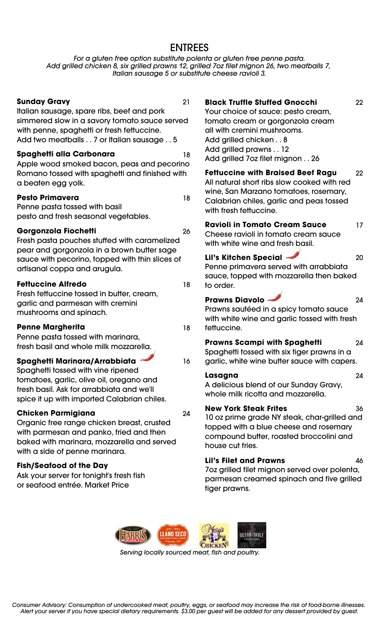# ENTREES

*For a gluten free option substitute polenta or gluten free penne pasta. Add grilled chicken 8, six grilled prawns 12, grilled 7oz filet mignon 26, two meatballs 7, Italian sausage 5 or substitute cheese ravioli 3.*

#### **Sunday Gravy** 21

Italian sausage, spare ribs, beef and pork simmered slow in a savory tomato sauce served with penne, spaghetti or fresh fettuccine. Add two meatballs . . 7 or Italian sausage . . 5

#### **Spaghetti alla Carbonara** 18

Apple wood smoked bacon, peas and pecorino Romano tossed with spaghetti and finished with a beaten egg yolk.

#### **Pesto Primavera** 18

Penne pasta tossed with basil pesto and fresh seasonal vegetables.

#### **Gorgonzola Fiochetti** 26

Fresh pasta pouches stuffed with caramelized pear and gorgonzola in a brown butter sage sauce with pecorino, topped with thin slices of artisanal coppa and arugula.

#### **Fettuccine Alfredo** 18

Fresh fettuccine tossed in butter, cream, garlic and parmesan with cremini mushrooms and spinach.

#### **Penne Margherita** 18

Penne pasta tossed with marinara, fresh basil and whole milk mozzarella.

#### **Spaghetti Marinara/Arrabbiata** 16

Spaghetti tossed with vine ripened tomatoes, garlic, olive oil, oregano and fresh basil. Ask for arrabbiata and we'll spice it up with imported Calabrian chiles.

#### **Chicken Parmigiana** 24

Organic free range chicken breast, crusted with parmesan and panko, fried and then baked with marinara, mozzarella and served with a side of penne marinara.

#### **Fish/Seafood of the Day**

Ask your server for tonight's fresh fish or seafood entrée. Market Price

| <b>Black Truffle Stuffed Gnocchi</b> | 22 |
|--------------------------------------|----|
| Your choice of sauce: pesto cream,   |    |
| tomato cream or gorgonzola cream     |    |
| all with cremini mushrooms.          |    |
| Add grilled chicken 8                |    |
| Add grilled prawns 12                |    |
| Add grilled 7oz filet mignon 26      |    |
| Eattuccing with Rraised Reef Daau    | מח |

**Fettuccine with Braised Beef Ragu** 22 All natural short ribs slow cooked with red wine, San Marzano tomatoes, rosemary, Calabrian chiles, garlic and peas tossed with fresh fettuccine.

#### **Ravioli in Tomato Cream Sauce** 17 Cheese ravioli in tomato cream sauce

with white wine and fresh basil.

## **Lil's Kitchen Special** 20

Penne primavera served with arrabbiata sauce, topped with mozzarella then baked to order.

#### **Prawns Diavolo** 24

Prawns sautéed in a spicy tomato sauce with white wine and garlic tossed with fresh fettuccine.

# **Prawns Scampi with Spaghetti** 24

Spaghetti tossed with six tiger prawns in a garlic, white wine butter sauce with capers.

**Lasagna** 24 A delicious blend of our Sunday Gravy, whole milk ricotta and mozzarella.

# **New York Steak Frites** 36

10 oz prime grade NY steak, char-grilled and topped with a blue cheese and rosemary compound butter, roasted broccolini and house cut fries.

# **Lil's Filet and Prawns** 46

7oz grilled filet mignon served over polenta, parmesan creamed spinach and five grilled tiger prawns.



*Serving locally sourced meat, fish and poultry.*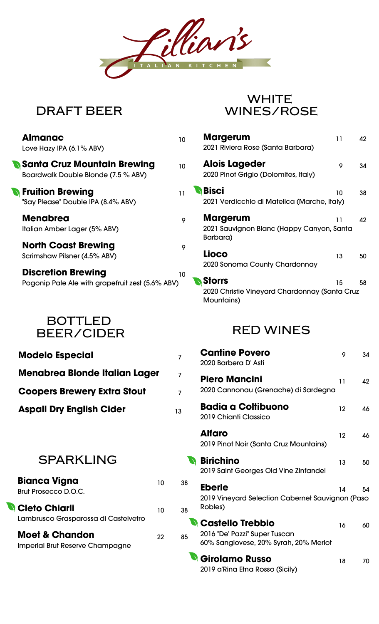

# **DRAFT BEER**

| <b>Almanac</b><br>Love Hazy IPA (6.1% ABV)                                    | 10 |
|-------------------------------------------------------------------------------|----|
| <b>Santa Cruz Mountain Brewing</b><br>Boardwalk Double Blonde (7.5 % ABV)     | 10 |
| <b>Fruition Brewing</b><br>"Say Please" Double IPA (8.4% ABV)                 | 11 |
| <b>Menabrea</b><br>Italian Amber Lager (5% ABV)                               | 9  |
| <b>North Coast Brewing</b><br>Scrimshaw Pilsner (4.5% ABV)                    | 9  |
| <b>Discretion Brewing</b><br>Pogonip Pale Ale with grapefruit zest (5.6% ABV) | 10 |

# **BOTTLED BEER/CIDER**

| <b>Modelo Especial</b>                                              |    | 7  |
|---------------------------------------------------------------------|----|----|
| Menabrea Blonde Italian Lager                                       |    | 7  |
| <b>Coopers Brewery Extra Stout</b>                                  |    | 7  |
| <b>Aspall Dry English Cider</b>                                     |    | 13 |
| <b>SPARKLING</b>                                                    |    |    |
| <b>Bianca Vigna</b><br><b>Brut Prosecco D.O.C.</b>                  | 10 | 38 |
| <b>Cleto Chiarli</b><br>Lambrusco Grasparossa di Castelvetro        | 10 | 38 |
| <b>Moet &amp; Chandon</b><br><b>Imperial Brut Reserve Champagne</b> | 22 | 85 |
|                                                                     |    |    |

# **WHITE WINES/ROSE**

| <b>Margerum</b><br>2021 Riviera Rose (Santa Barbara)                     | 11 | 42 |
|--------------------------------------------------------------------------|----|----|
| <b>Alois Lageder</b><br>2020 Pinot Grigio (Dolomites, Italy)             | 9  | 34 |
| <b>Bisci</b><br>2021 Verdicchio di Matelica (Marche, Italy)              | 10 | 38 |
| <b>Margerum</b><br>2021 Sauvignon Blanc (Happy Canyon, Santa<br>Barbara) | 11 | 42 |
| Lioco<br>2020 Sonoma County Chardonnay                                   | 13 | 50 |
| <b>Storrs</b><br>2020 Christie Vineyard Chardonnay (Santa Cruz           | 15 | 58 |

# **RED WINES**

Mountains)

| <b>Cantine Povero</b><br>2020 Barbera D'Asti                                                        | 9  | 34 |
|-----------------------------------------------------------------------------------------------------|----|----|
| <b>Piero Mancini</b><br>2020 Cannonau (Grenache) di Sardegna                                        | 11 | 42 |
| <b>Badia a Coltibuono</b><br>2019 Chianti Classico                                                  | 12 | 46 |
| <b>Alfaro</b><br>2019 Pinot Noir (Santa Cruz Mountains)                                             | 12 | 46 |
| <b>Birichino</b><br>2019 Saint Georges Old Vine Zinfandel                                           | 13 | 50 |
| <b>Eberle</b><br>2019 Vineyard Selection Cabernet Sauvignon (Paso<br>Robles)                        | 14 | 54 |
| <b>N</b> Castello Trebbio<br>2016 "De' Pazzi" Super Tuscan<br>60% Sangiovese, 20% Syrah, 20% Merlot | 16 | 60 |
| <b>Girolamo Russo</b><br>2019 a'Rina Etna Rosso (Sicily)                                            | 18 | 70 |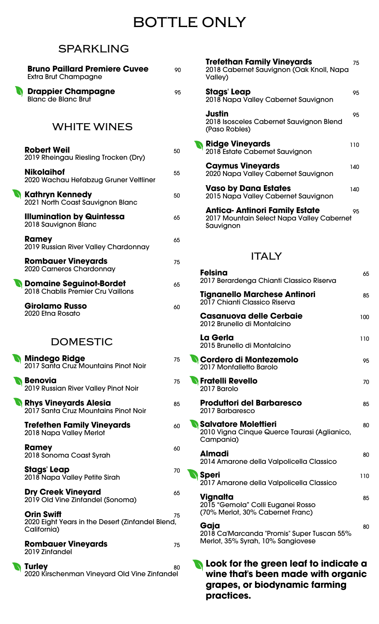# **BOTTLE ONLY**

# **SPARKLING**

| <b>Extra Brut Champagne</b>                                                          | 90 |
|--------------------------------------------------------------------------------------|----|
| <b>Drappier Champagne</b><br><b>Blanc</b> de Blanc Brut                              | 95 |
| <b>WHITE WINES</b>                                                                   |    |
| <b>Robert Weil</b><br>2019 Rheingau Riesling Trocken (Dry)                           | 50 |
| <b>Nikolaihof</b><br>2020 Wachau Hefabzug Gruner Veltliner                           | 55 |
| <b>Kathryn Kennedy</b><br>2021 North Coast Sauvignon Blanc                           | 50 |
| <b>Illumination by Quintessa</b><br>2018 Sauvignon Blanc                             | 65 |
| <b>Ramey</b><br>2019 Russian River Valley Chardonnay                                 | 65 |
| <b>Rombauer Vineyards</b><br>2020 Carneros Chardonnay                                | 75 |
| <b>N</b> Domaine Seguinot-Bordet<br>2018 Chablis Premier Cru Vaillons                | 65 |
| Girolamo Russo<br>2020 Etna Rosato                                                   | 60 |
|                                                                                      |    |
| <b>)OMESTIC</b>                                                                      |    |
| <b>Mindego Ridge</b><br>2017 Santa Cruz Mountains Pinot Noir                         | 75 |
| <b>Benovia</b><br>2019 Russian River Valley Pinot Noir                               | 75 |
| <b>Rhys Vineyards Alesia</b><br>2017 Santa Cruz Mountains Pinot Noir                 | 85 |
| <b>Trefethen Family Vineyards</b><br>2018 Napa Valley Merlot                         | 60 |
| Ramey<br>2018 Sonoma Coast Syrah                                                     | 60 |
| Stags' Leap<br>2018 Napa Valley Petite Sirah                                         | 70 |
| <b>Dry Creek Vineyard</b><br>2019 Old Vine Zinfandel (Sonoma)                        | 65 |
| <b>Orin Swift</b><br>2020 Eight Years in the Desert (Zinfandel Blend,<br>California) | 75 |
| <b>Rombauer Vineyards</b><br>2019 Zinfandel                                          | 75 |

| <b>Trefethan Family Vineyards</b><br>2018 Cabernet Sauvignon (Oak Knoll, Napa<br>Valley)       | 75  |
|------------------------------------------------------------------------------------------------|-----|
| <b>Stags' Leap</b><br>2018 Napa Valley Cabernet Sauvignon                                      | 95  |
| Justin<br>2018 Isosceles Cabernet Sauvignon Blend<br>(Paso Robles)                             | 95  |
| <b>Ridge Vineyards</b><br>2018 Estate Cabernet Sauvignon                                       | 110 |
| <b>Caymus Vineyards</b><br>2020 Napa Valley Cabernet Sauvignon                                 | 140 |
| <b>Vaso by Dana Estates</b><br>2015 Napa Valley Cabernet Sauvignon                             | 140 |
| <b>Antica-Antinori Family Estate</b><br>2017 Mountain Select Napa Valley Cabernet<br>Sauvignon | 95  |
| <b>ITALY</b>                                                                                   |     |
| <b>Felsina</b><br>2017 Berardenga Chianti Classico Riserva                                     | 65  |
| Tignanello Marchese Antinori<br>2017 Chianti Classico Riserva                                  | 85  |
| <b>Casanuova delle Cerbaie</b><br>2012 Brunello di Montalcino                                  | 100 |
| La Gerla<br>2015 Brunello di Montalcino                                                        | 110 |
| N Cordero di Montezemolo<br>2017 Monfalletto Barolo                                            | 95. |
| <b>N</b> Fratelli Revello<br>2017 Barolo                                                       | 70  |
| <b>Produttori del Barbaresco</b><br>2017 Barbaresco                                            | 85  |
| <b>Salvatore Molettieri</b><br>2010 Vigna Cinque Querce Taurasi (Aglianico,<br>Campania)       | 80  |
| Almadi<br>2014 Amarone della Valpolicella Classico                                             | 80  |
| <b>Speri</b><br>2017 Amarone della Valpolicella Classico                                       | 110 |
| Vignalta<br>2015 "Gemola" Colli Euganei Rosso<br>(70% Merlot, 30% Cabernet Franc)              | 85  |
| Gaja<br>2018 Ca'Marcanda "Promis" Super Tuscan 55%<br>Merlot, 35% Syrah, 10% Sangiovese        | 80  |
|                                                                                                |     |

**Look for the green leaf to indicate a wine that's been made with organic grapes, or biodynamic farming practices.**